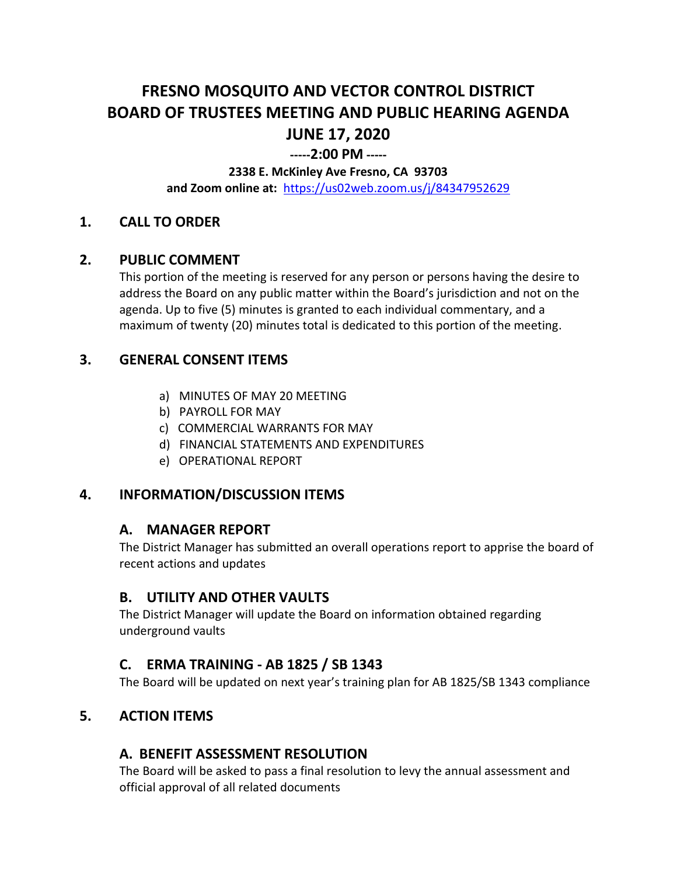# **FRESNO MOSQUITO AND VECTOR CONTROL DISTRICT BOARD OF TRUSTEES MEETING AND PUBLIC HEARING AGENDA JUNE 17, 2020**

#### **-----2:00 PM -----**

#### **2338 E. McKinley Ave Fresno, CA 93703**

**and Zoom online at:** <https://us02web.zoom.us/j/84347952629>

### **1. CALL TO ORDER**

#### **2. PUBLIC COMMENT**

This portion of the meeting is reserved for any person or persons having the desire to address the Board on any public matter within the Board's jurisdiction and not on the agenda. Up to five (5) minutes is granted to each individual commentary, and a maximum of twenty (20) minutes total is dedicated to this portion of the meeting.

### **3. GENERAL CONSENT ITEMS**

- a) MINUTES OF MAY 20 MEETING
- b) PAYROLL FOR MAY
- c) COMMERCIAL WARRANTS FOR MAY
- d) FINANCIAL STATEMENTS AND EXPENDITURES
- e) OPERATIONAL REPORT

## **4. INFORMATION/DISCUSSION ITEMS**

#### **A. MANAGER REPORT**

The District Manager has submitted an overall operations report to apprise the board of recent actions and updates

#### **B. UTILITY AND OTHER VAULTS**

The District Manager will update the Board on information obtained regarding underground vaults

#### **C. ERMA TRAINING - AB 1825 / SB 1343**

The Board will be updated on next year's training plan for AB 1825/SB 1343 compliance

## **5. ACTION ITEMS**

#### **A. BENEFIT ASSESSMENT RESOLUTION**

The Board will be asked to pass a final resolution to levy the annual assessment and official approval of all related documents